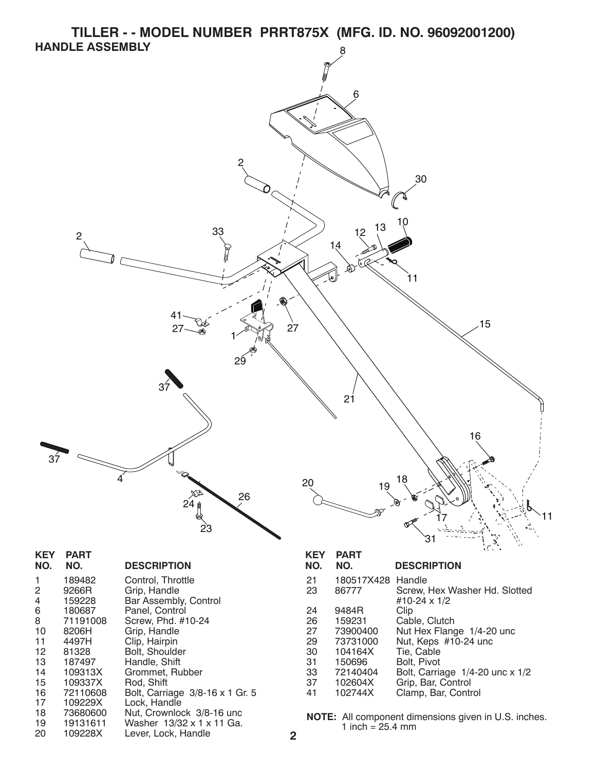**TILLER - - MODEL NUMBER PRRT875X (MFG. ID. NO. 96092001200) HANDLE ASSEMBLY**



33 72140404 Bolt, Carriage 1/4-20 unc x 1/2

102604X Grip, Bar, Control<br>102744X Clamp, Bar, Contr 41 102744X Clamp, Bar, Control

**NOTE:** All component dimensions given in U.S. inches. 1 inch =  $25.4 \, \text{mm}$ 

16 72110608 Bolt, Carriage 3/8-16 x 1 Gr. 5

15 109337X Rod, Shift

17 109229X Lock, Handle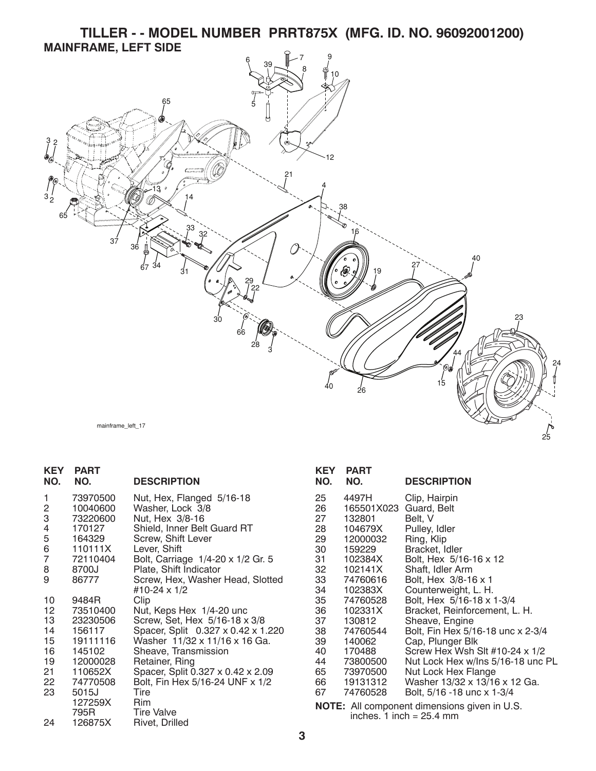**TILLER - - MODEL NUMBER PRRT875X (MFG. ID. NO. 96092001200) MAINFRAME, LEFT SIDE**



| <b>KEY</b><br>NO. | PART<br>NO.        | <b>DESCRIPTION</b>                                |
|-------------------|--------------------|---------------------------------------------------|
| 1                 | 73970500           | Nut, Hex, Flanged 5/16-18                         |
| 2                 | 10040600           | Washer, Lock 3/8                                  |
| 3                 | 73220600<br>170127 | Nut, Hex 3/8-16                                   |
| 4<br>5            | 164329             | Shield, Inner Belt Guard RT<br>Screw, Shift Lever |
| 6                 | 110111X            | Lever, Shift                                      |
| 7                 | 72110404           | Bolt, Carriage 1/4-20 x 1/2 Gr. 5                 |
| 8                 | 8700J              | Plate, Shift Indicator                            |
| 9                 | 86777              | Screw, Hex, Washer Head, Slotted                  |
|                   |                    | #10-24 x 1/2                                      |
| 10                | 9484R              | Clip                                              |
| 12                | 73510400           | Nut, Keps Hex 1/4-20 unc                          |
| 13                | 23230506           | Screw, Set, Hex 5/16-18 x 3/8                     |
| 14                | 156117             | Spacer, Split 0.327 x 0.42 x 1.220                |
| 15                | 19111116           | Washer 11/32 x 11/16 x 16 Ga.                     |
| 16                | 145102             | Sheave, Transmission                              |
| 19                | 12000028           | Retainer, Ring                                    |
| 21                | 110652X            | Spacer, Split 0.327 x 0.42 x 2.09                 |
| 22                | 74770508           | Bolt, Fin Hex 5/16-24 UNF x 1/2                   |
| 23                | 5015J              | Tire                                              |
|                   | 127259X            | Rim                                               |
|                   | 795R               | <b>Tire Valve</b>                                 |
| 24                | 126875X            | Rivet, Drilled                                    |

| KEY  | PART       |                                                    |
|------|------------|----------------------------------------------------|
| NO.  | NO.        | <b>DESCRIPTION</b>                                 |
| 25   | 4497H      | Clip, Hairpin                                      |
| 26   | 165501X023 | Guard, Belt                                        |
| 27   | 132801     | Belt, V                                            |
| 28   | 104679X    | Pulley, Idler                                      |
| 29   | 12000032   | Ring, Klip                                         |
| 30   | 159229     | Bracket, Idler                                     |
| 31   | 102384X    | Bolt, Hex 5/16-16 x 12                             |
| 32   | 102141X    | Shaft, Idler Arm                                   |
| 33   | 74760616   | Bolt, Hex 3/8-16 x 1                               |
| 34   | 102383X    | Counterweight, L. H.                               |
| 35   | 74760528   | Bolt, Hex 5/16-18 x 1-3/4                          |
| 36   | 102331X    | Bracket, Reinforcement, L. H.                      |
| 37   | 130812     | Sheave, Engine                                     |
| 38   | 74760544   | Bolt, Fin Hex 5/16-18 unc x 2-3/4                  |
| 39   | 140062     | Cap, Plunger Blk                                   |
| 40   | 170488     | Screw Hex Wsh Slt #10-24 x 1/2                     |
| 44   | 73800500   | Nut Lock Hex w/Ins 5/16-18 unc PL                  |
| 65 — | 73970500   | Nut Lock Hex Flange                                |
| 66 — | 19131312   | Washer 13/32 x 13/16 x 12 Ga.                      |
| 67   | 74760528   | Bolt, 5/16 -18 unc x 1-3/4                         |
|      |            | <b>NOTE:</b> All component dimensions given in LLS |

**NOTE:** All component dimensions given in U.S. inches. 1 inch = 25.4 mm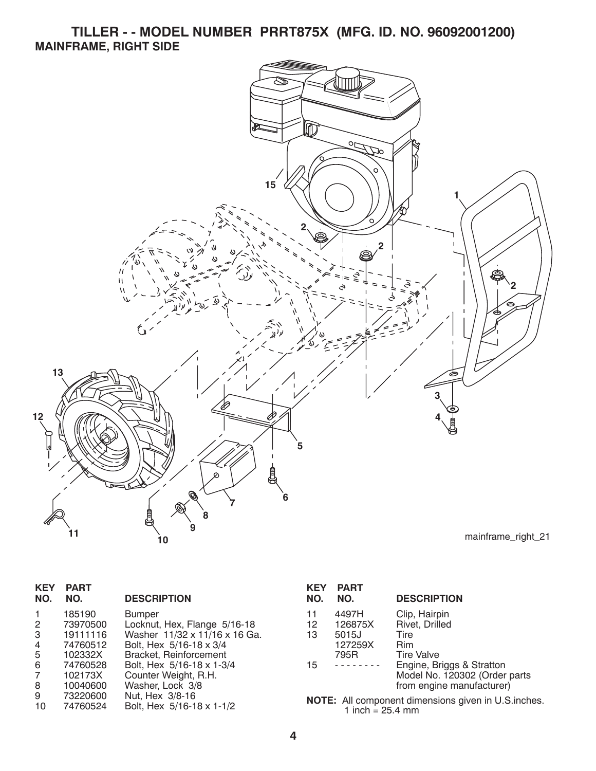**TILLER - - MODEL NUMBER PRRT875X (MFG. ID. NO. 96092001200) MAINFRAME, RIGHT SIDE**



| <b>KEY</b><br>NO. | <b>PART</b><br>NO. | <b>DESCRIPTION</b>            |
|-------------------|--------------------|-------------------------------|
| 1                 | 185190             | <b>Bumper</b>                 |
| 2                 | 73970500           | Locknut, Hex, Flange 5/16-18  |
| 3                 | 19111116           | Washer 11/32 x 11/16 x 16 Ga. |
| 4                 | 74760512           | Bolt, Hex 5/16-18 x 3/4       |
| 5                 | 102332X            | Bracket, Reinforcement        |
| 6                 | 74760528           | Bolt, Hex 5/16-18 x 1-3/4     |
| 7                 | 102173X            | Counter Weight, R.H.          |
| 8                 | 10040600           | Washer, Lock 3/8              |
| 9                 | 73220600           | Nut. Hex 3/8-16               |
| 10                | 74760524           | Bolt. Hex 5/16-18 x 1-1/2     |

| <b>KEY</b><br>NO. | <b>PART</b><br>NO.                   | <b>DESCRIPTION</b>                                                                                           |
|-------------------|--------------------------------------|--------------------------------------------------------------------------------------------------------------|
| 11<br>12<br>13    | 4497H<br>126875X<br>5015J<br>127259X | Clip, Hairpin<br>Rivet, Drilled<br>Tire<br>Rim                                                               |
| 15                | 795R                                 | <b>Tire Valve</b><br>Engine, Briggs & Stratton<br>Model No. 120302 (Order parts<br>from engine manufacturer) |
|                   |                                      |                                                                                                              |

10 74760524 Bolt, Hex 5/16-18 x 1-1/2 **NOTE:** All component dimensions given in U.S.inches. 1 inch = 25.4 mm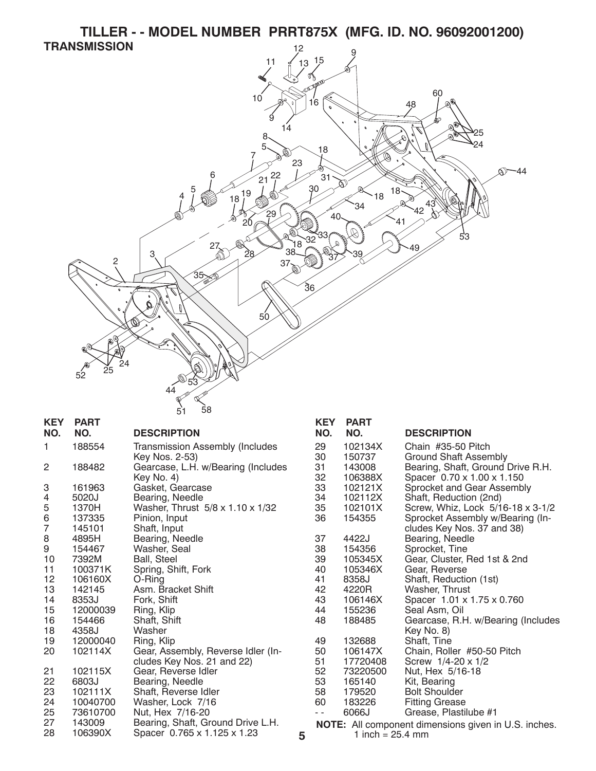



| <b>KEY</b> | <b>PART</b>         |                                                                  |   | KE             |
|------------|---------------------|------------------------------------------------------------------|---|----------------|
| NO.        | NO.                 | <b>DESCRIPTION</b>                                               |   | N <sub>C</sub> |
| 1          | 188554              | <b>Transmission Assembly (Includes</b>                           |   | 29             |
|            |                     | Key Nos. 2-53)                                                   |   | 30             |
| 2          | 188482              | Gearcase, L.H. w/Bearing (Includes                               |   | 31             |
|            |                     | Key No. 4)                                                       |   | 32             |
| 3          | 161963              | Gasket, Gearcase                                                 |   | 33             |
| 4          | 5020J               | Bearing, Needle                                                  |   | 34             |
| 5          | 1370H               | Washer, Thrust 5/8 x 1.10 x 1/32                                 |   | 35             |
| 6          | 137335              | Pinion, Input                                                    |   | 36             |
| 7          | 145101              | Shaft, Input                                                     |   |                |
| 8          | 4895H               | Bearing, Needle                                                  |   | 37             |
| 9          | 154467              | Washer, Seal                                                     |   | 38             |
| 10         | 7392M               | Ball, Steel                                                      |   | 39             |
| 11         | 100371K             | Spring, Shift, Fork                                              |   | 40             |
| 12         | 106160X             | O-Ring                                                           |   | 41             |
| 13         | 142145              | Asm. Bracket Shift                                               |   | 42             |
| 14         | 8353J               | Fork, Shift                                                      |   | 43             |
| 15         | 12000039            | Ring, Klip                                                       |   | 44             |
| 16         | 154466              | Shaft, Shift                                                     |   | 48             |
| 18         | 4358J               | Washer                                                           |   |                |
| 19         | 12000040            | Ring, Klip                                                       |   | 49             |
| 20         | 102114X             | Gear, Assembly, Reverse Idler (In-                               |   | 50             |
|            |                     | cludes Key Nos. 21 and 22)                                       |   | 51             |
| 21         | 102115X             | Gear, Reverse Idler                                              |   | 52             |
| 22         | 6803J               | Bearing, Needle                                                  |   | 53             |
| 23<br>24   | 102111X<br>10040700 | Shaft, Reverse Idler                                             |   | 58<br>60       |
|            | 73610700            | Washer, Lock 7/16                                                |   |                |
| 25<br>27   | 143009              | Nut, Hex 7/16-20                                                 |   |                |
| 28         | 106390X             | Bearing, Shaft, Ground Drive L.H.<br>Spacer 0.765 x 1.125 x 1.23 |   | N <sub>(</sub> |
|            |                     |                                                                  | 5 |                |

| KEY                                                         | PARI     |                                    |
|-------------------------------------------------------------|----------|------------------------------------|
| NO.                                                         | NO.      | <b>DESCRIPTION</b>                 |
| 29                                                          | 102134X  | Chain #35-50 Pitch                 |
| 30                                                          | 150737   | <b>Ground Shaft Assembly</b>       |
| 31                                                          | 143008   | Bearing, Shaft, Ground Drive R.H.  |
| 32                                                          | 106388X  | Spacer 0.70 x 1.00 x 1.150         |
| 33                                                          | 102121X  | Sprocket and Gear Assembly         |
| 34                                                          | 102112X  | Shaft, Reduction (2nd)             |
| 35                                                          | 102101X  | Screw, Whiz, Lock 5/16-18 x 3-1/2  |
| 36                                                          | 154355   | Sprocket Assembly w/Bearing (In-   |
|                                                             |          | cludes Key Nos. 37 and 38)         |
| 37                                                          | 4422J    | Bearing, Needle                    |
| 38                                                          | 154356   | Sprocket, Tine                     |
| 39                                                          | 105345X  | Gear, Cluster, Red 1st & 2nd       |
| 40                                                          | 105346X  | Gear, Reverse                      |
| 41                                                          | 8358J    | Shaft, Reduction (1st)             |
| 42                                                          | 4220R    | Washer, Thrust                     |
| 43                                                          | 106146X  | Spacer 1.01 x 1.75 x 0.760         |
| 44                                                          | 155236   | Seal Asm, Oil                      |
| 48                                                          | 188485   | Gearcase, R.H. w/Bearing (Includes |
|                                                             |          | Key No. 8)                         |
| 49                                                          | 132688   | Shaft, Tine                        |
| 50                                                          | 106147X  | Chain, Roller #50-50 Pitch         |
| 51                                                          | 17720408 | Screw $1/4 - 20 \times 1/2$        |
| 52                                                          | 73220500 | Nut, Hex 5/16-18                   |
| 53                                                          | 165140   | Kit, Bearing                       |
| 58                                                          | 179520   | <b>Bolt Shoulder</b>               |
| 60                                                          | 183226   | <b>Fitting Grease</b>              |
|                                                             | 6066J    | Grease, Plastilube #1              |
| <b>NOTE:</b> All component dimensions given in U.S. inches. |          |                                    |
| 1 inch = $25.4 \text{ mm}$                                  |          |                                    |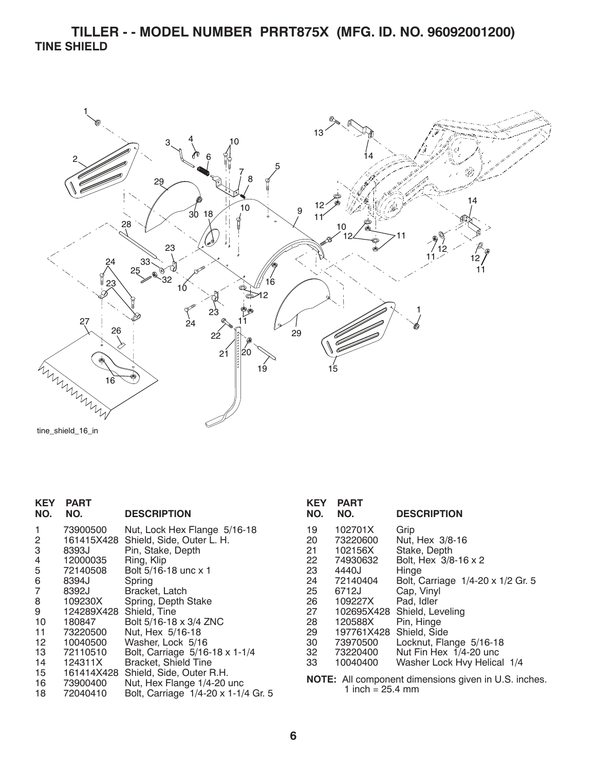**TILLER - - MODEL NUMBER PRRT875X (MFG. ID. NO. 96092001200) TINE SHIELD**



tine\_shield\_16\_in

| <b>KEY</b><br>NO. | <b>PART</b><br>NO. | <b>DESCRIPTION</b>                  |
|-------------------|--------------------|-------------------------------------|
|                   |                    |                                     |
| 1                 | 73900500           | Nut, Lock Hex Flange 5/16-18        |
| 2                 | 161415X428         | Shield, Side, Outer L. H.           |
| 3                 | 8393J              | Pin, Stake, Depth                   |
| 4                 | 12000035           | Ring, Klip                          |
| 5                 | 72140508           | Bolt 5/16-18 unc x 1                |
| 6                 | 8394J              | Spring                              |
| 7                 | 8392J              | Bracket, Latch                      |
| 8                 | 109230X            | Spring, Depth Stake                 |
| 9                 | 124289X428         | Shield, Tine                        |
| 10                | 180847             | Bolt 5/16-18 x 3/4 ZNC              |
| 11                | 73220500           | Nut, Hex 5/16-18                    |
| 12                | 10040500           | Washer, Lock 5/16                   |
| 13                | 72110510           | Bolt, Carriage 5/16-18 x 1-1/4      |
| 14                | 124311X            | <b>Bracket, Shield Tine</b>         |
| 15                | 161414X428         | Shield, Side, Outer R.H.            |
|                   | 16 73900400        | Nut, Hex Flange 1/4-20 unc          |
| 18                | 72040410           | Bolt, Carriage 1/4-20 x 1-1/4 Gr. 5 |
|                   |                    |                                     |

| KEY<br>NO. | <b>PART</b><br>NO. | <b>DESCRIPTION</b>                                 |
|------------|--------------------|----------------------------------------------------|
| 19         | 102701X            | Grip                                               |
| 20         | 73220600           | Nut, Hex 3/8-16                                    |
| 21         | 102156X            | Stake, Depth                                       |
| 22         | 74930632           | Bolt, Hex 3/8-16 x 2                               |
| 23         | 4440J              | Hinge                                              |
| 24         | 72140404           | Bolt, Carriage 1/4-20 x 1/2 Gr. 5                  |
| 25         | 6712J              | Cap, Vinyl                                         |
| 26         | 109227X            | Pad. Idler                                         |
| 27         | 102695X428         | Shield, Leveling                                   |
| 28         | 120588X            | Pin, Hinge                                         |
| 29         | 197761X428         | Shield, Side                                       |
| 30         | 73970500           | Locknut, Flange 5/16-18                            |
| 32         | 73220400           | Nut Fin Hex 1/4-20 unc                             |
| 33         | 10040400           | Washer Lock Hvy Helical 1/4                        |
|            |                    | $MATE: All common part dimension of m is a 110 in$ |

**NOTE:** All component dimensions given in U.S. inches. 1 inch =  $25.4 \text{ mm}$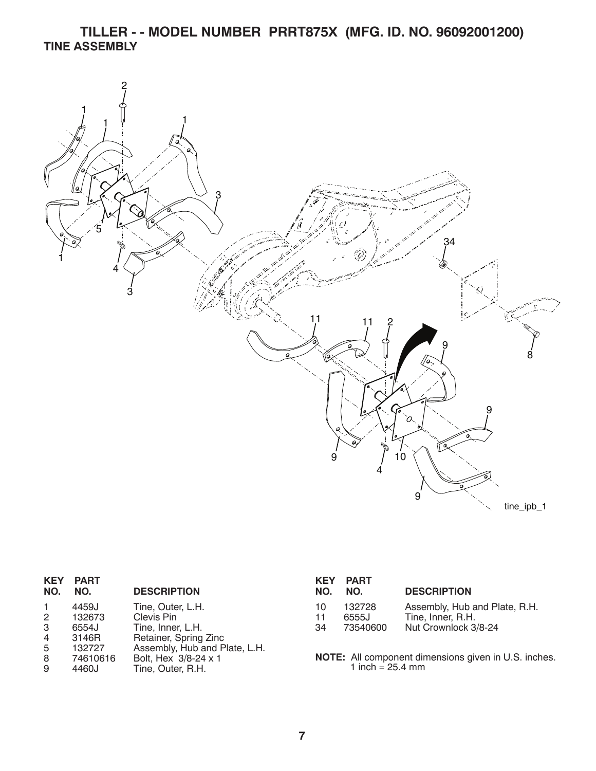**TILLER - - MODEL NUMBER PRRT875X (MFG. ID. NO. 96092001200) TINE ASSEMBLY**



| <b>KEY</b><br>NO.         | <b>PART</b><br>NO.       | <b>DESCRIPTION</b>                                                          | <b>KEY</b><br>NO. | PART<br>NO.                | <b>DESCRIPTION</b>                                          |
|---------------------------|--------------------------|-----------------------------------------------------------------------------|-------------------|----------------------------|-------------------------------------------------------------|
| $\overline{2}$            | 4459J<br>132673          | Tine, Outer, L.H.<br>Clevis Pin                                             | 10<br>11          | 132728<br>6555J            | Assembly, Hub and Plate, R.H.<br>Tine, Inner, R.H.          |
| 3<br>$\overline{4}$<br>-5 | 6554J<br>3146R<br>132727 | Tine, Inner, L.H.<br>Retainer, Spring Zinc<br>Assembly, Hub and Plate, L.H. | 34                | 73540600                   | Nut Crownlock 3/8-24                                        |
| -8<br>9                   | 74610616<br>4460J        | Bolt, Hex 3/8-24 x 1<br>Tine, Outer, R.H.                                   |                   | 1 inch = $25.4 \text{ mm}$ | <b>NOTE:</b> All component dimensions given in U.S. inches. |

**7**